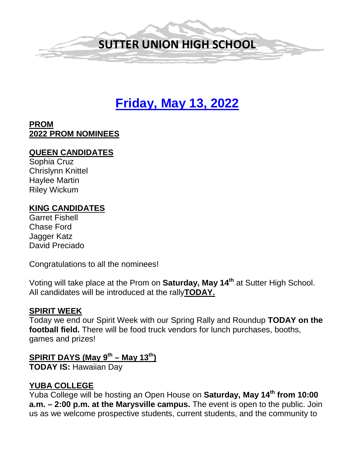

# **Friday, May 13, 2022**

#### **PROM 2022 PROM NOMINEES**

#### **QUEEN CANDIDATES**

Sophia Cruz Chrislynn Knittel Haylee Martin Riley Wickum

#### **KING CANDIDATES**

Garret Fishell Chase Ford Jagger Katz David Preciado

Congratulations to all the nominees!

Voting will take place at the Prom on **Saturday, May 14th** at Sutter High School. All candidates will be introduced at the rally**TODAY.**

#### **SPIRIT WEEK**

Today we end our Spirit Week with our Spring Rally and Roundup **TODAY on the football field.** There will be food truck vendors for lunch purchases, booths, games and prizes!

# **SPIRIT DAYS (May 9th – May 13th)**

**TODAY IS:** Hawaiian Day

#### **YUBA COLLEGE**

Yuba College will be hosting an Open House on **Saturday, May 14th from 10:00 a.m. – 2:00 p.m. at the Marysville campus.** The event is open to the public. Join us as we welcome prospective students, current students, and the community to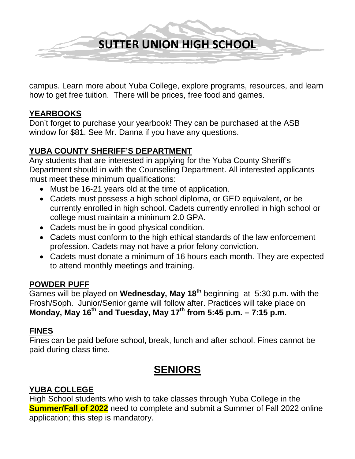

campus. Learn more about Yuba College, explore programs, resources, and learn how to get free tuition. There will be prices, free food and games.

#### **YEARBOOKS**

Don't forget to purchase your yearbook! They can be purchased at the ASB window for \$81. See Mr. Danna if you have any questions.

#### **YUBA COUNTY SHERIFF'S DEPARTMENT**

Any students that are interested in applying for the Yuba County Sheriff's Department should in with the Counseling Department. All interested applicants must meet these minimum qualifications:

- Must be 16-21 years old at the time of application.
- Cadets must possess a high school diploma, or GED equivalent, or be currently enrolled in high school. Cadets currently enrolled in high school or college must maintain a minimum 2.0 GPA.
- Cadets must be in good physical condition.
- Cadets must conform to the high ethical standards of the law enforcement profession. Cadets may not have a prior felony conviction.
- Cadets must donate a minimum of 16 hours each month. They are expected to attend monthly meetings and training.

#### **POWDER PUFF**

Games will be played on **Wednesday, May 18th** beginning at 5:30 p.m. with the Frosh/Soph. Junior/Senior game will follow after. Practices will take place on **Monday, May 16th and Tuesday, May 17th from 5:45 p.m. – 7:15 p.m.**

#### **FINES**

Fines can be paid before school, break, lunch and after school. Fines cannot be paid during class time.

# **SENIORS**

## **YUBA COLLEGE**

High School students who wish to take classes through Yuba College in the **Summer/Fall of 2022** need to complete and submit a Summer of Fall 2022 online application; this step is mandatory.